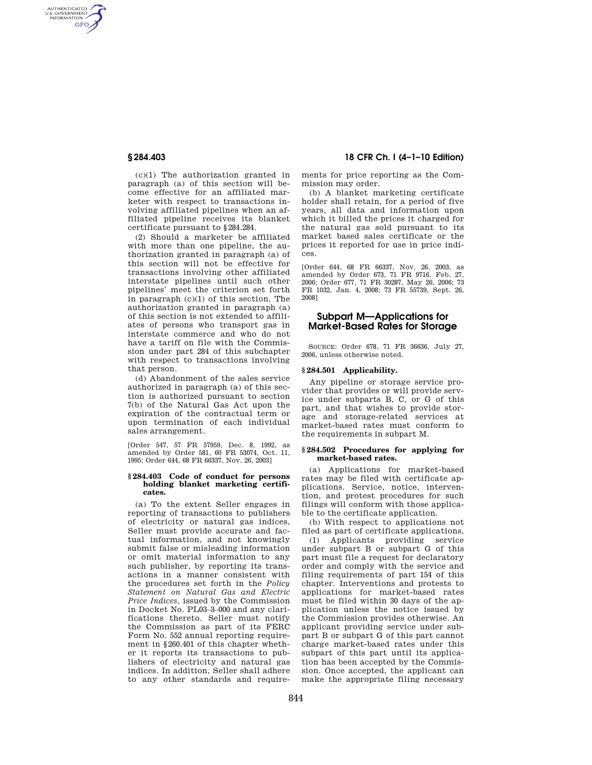AUTHENTICATED<br>U.S. GOVERNMENT<br>INFORMATION **GPO** 

> (c)(1) The authorization granted in paragraph (a) of this section will become effective for an affiliated marketer with respect to transactions involving affiliated pipelines when an affiliated pipeline receives its blanket certificate pursuant to §284.284.

> (2) Should a marketer be affiliated with more than one pipeline, the authorization granted in paragraph (a) of this section will not be effective for transactions involving other affiliated interstate pipelines until such other pipelines' meet the criterion set forth in paragraph (c)(1) of this section. The authorization granted in paragraph (a) of this section is not extended to affiliates of persons who transport gas in interstate commerce and who do not have a tariff on file with the Commission under part 284 of this subchapter with respect to transactions involving that person.

> (d) Abandonment of the sales service authorized in paragraph (a) of this section is authorized pursuant to section 7(b) of the Natural Gas Act upon the expiration of the contractual term or upon termination of each individual sales arrangement.

> [Order 547, 57 FR 57959, Dec. 8, 1992, as amended by Order 581, 60 FR 53074, Oct. 11, 1995; Order 644, 68 FR 66337, Nov. 26, 2003]

#### **§ 284.403 Code of conduct for persons holding blanket marketing certificates.**

(a) To the extent Seller engages in reporting of transactions to publishers of electricity or natural gas indices, Seller must provide accurate and factual information, and not knowingly submit false or misleading information or omit material information to any such publisher, by reporting its transactions in a manner consistent with the procedures set forth in the *Policy Statement on Natural Gas and Electric Price Indices*, issued by the Commission in Docket No. PL03–3–000 and any clarifications thereto. Seller must notify the Commission as part of its FERC Form No. 552 annual reporting requirement in §260.401 of this chapter whether it reports its transactions to publishers of electricity and natural gas indices. In addition, Seller shall adhere to any other standards and require-

# **§ 284.403 18 CFR Ch. I (4–1–10 Edition)**

ments for price reporting as the Commission may order.

(b) A blanket marketing certificate holder shall retain, for a period of five years, all data and information upon which it billed the prices it charged for the natural gas sold pursuant to its market based sales certificate or the prices it reported for use in price indices.

[Order 644, 68 FR 66337, Nov. 26, 2003, as amended by Order 673, 71 FR 9716, Feb. 27, 2006; Order 677, 71 FR 30287, May 26, 2006; 73 FR 1032, Jan. 4, 2008; 73 FR 55739, Sept. 26, 2008]

# **Subpart M—Applications for Market-Based Rates for Storage**

SOURCE: Order 678, 71 FR 36636, July 27, 2006, unless otherwise noted.

## **§ 284.501 Applicability.**

Any pipeline or storage service provider that provides or will provide service under subparts B, C, or G of this part, and that wishes to provide storage and storage-related services at market-based rates must conform to the requirements in subpart M.

#### **§ 284.502 Procedures for applying for market-based rates.**

(a) Applications for market-based rates may be filed with certificate applications. Service, notice, intervention, and protest procedures for such filings will conform with those applicable to the certificate application.

(b) With respect to applications not filed as part of certificate applications,

(1) Applicants providing service under subpart B or subpart G of this part must file a request for declaratory order and comply with the service and filing requirements of part 154 of this chapter. Interventions and protests to applications for market-based rates must be filed within 30 days of the application unless the notice issued by the Commission provides otherwise. An applicant providing service under subpart B or subpart G of this part cannot charge market-based rates under this subpart of this part until its application has been accepted by the Commission. Once accepted, the applicant can make the appropriate filing necessary